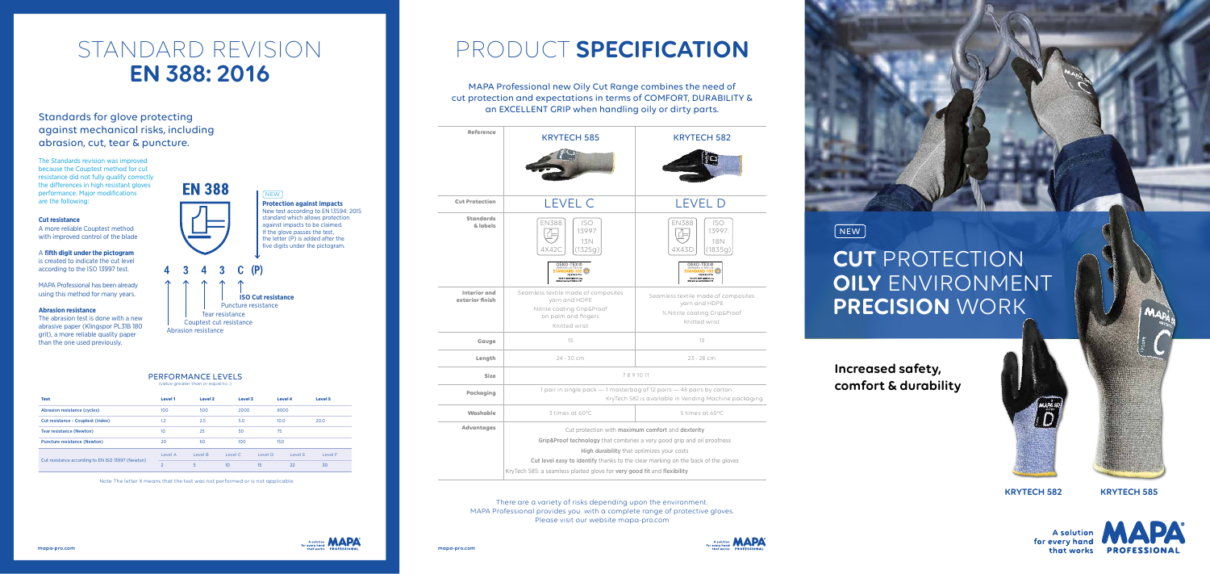| <b>Reference</b>                       | <b>KRYTECH 585</b>                                                                                                                                                                                                                                                                                              | <b>KRYTEC</b>                                                    |  |  |  |  |
|----------------------------------------|-----------------------------------------------------------------------------------------------------------------------------------------------------------------------------------------------------------------------------------------------------------------------------------------------------------------|------------------------------------------------------------------|--|--|--|--|
|                                        |                                                                                                                                                                                                                                                                                                                 |                                                                  |  |  |  |  |
| <b>Cut Protection</b>                  | <b>LEVEL C</b>                                                                                                                                                                                                                                                                                                  | <b>FVF</b>                                                       |  |  |  |  |
| <b>Standards</b><br>& labels           | <b>EN388</b><br><b>ISO</b><br>13997:<br>13N<br>4X42C<br>(1325q)<br><b>OEKO-TEX®</b>                                                                                                                                                                                                                             | <b>EN388</b><br>4X43D<br>OEKO-T                                  |  |  |  |  |
|                                        | STANDARD 100<br><b>CQ 979/2 IFTH</b><br>Tested for harmful substances.<br>ww.oeko-tex.com/standard100                                                                                                                                                                                                           | <b>STANDARD</b><br>CQ 97<br>Tested for harmful                   |  |  |  |  |
| <b>Interior</b> and<br>exterior finish | Seamless textile made of composites<br>yarn and HDPE<br>Nitrile coating Grip&Proof<br>on palm and fingers<br>Knitted wrist                                                                                                                                                                                      | Seamless textile mo<br>yarn and<br>3⁄4 Nitrile coatin<br>Knitted |  |  |  |  |
| Gauge                                  | 15                                                                                                                                                                                                                                                                                                              | 13                                                               |  |  |  |  |
| Length                                 | 24 - 30 cm                                                                                                                                                                                                                                                                                                      | $23 - 28$                                                        |  |  |  |  |
| <b>Size</b>                            | 7891011                                                                                                                                                                                                                                                                                                         |                                                                  |  |  |  |  |
| <b>Packaging</b>                       | 1 pair in single pack - 1 masterbag of 12 pairs - 48 pairs<br>KryTech 582 is available in Vending                                                                                                                                                                                                               |                                                                  |  |  |  |  |
| Washable                               | 3 times at 60°C                                                                                                                                                                                                                                                                                                 | 5 times o                                                        |  |  |  |  |
| <b>Advantages</b>                      | Cut protection with maximum comfort and dexterity<br>Grip&Proof technology that combines a very good grip and oil<br>High durability that optimizes your costs<br>Cut level easy to identify thanks to the clear marking on the back<br>KryTech 585: a seamless plaited glove for very good fit and flexibility |                                                                  |  |  |  |  |



**Packageda** 12 pairs — 48 pairs by carton yTech 582 is available in Vending Machine packaging

5 times at 60°C

combines a very good grip and oil proofness

lity that optimizes your costs

s to the clear marking on the back of the gloves





## **CUT** PROTECTION **OILY** ENVIRONMENT **PRECISION** WORK

**KRYTECH 582 KRYTECH 585**

**A** solution for every hand



NEW

# PRODUCT **SPECIFICATION**

### MAPA Professional new Oily Cut Range combines the need of cut protection and expectations in terms of COMFORT, DURABILITY & an EXCELLENT GRIP when handling oily or dirty parts.

**Increased safety, comfort & durability**



### PERFORMANCE LEVELS

(value greater than or equal to…)

| <b>Test</b>                                       | <b>Level 1</b> | Level 2 |                 | Level 3 |      | <b>Level 4</b> | Level 5 |
|---------------------------------------------------|----------------|---------|-----------------|---------|------|----------------|---------|
| <b>Abrasion resistance (cycles)</b>               | 100            | 500     | 2000            |         | 8000 |                |         |
| <b>Cut resistance - Couptest (index)</b>          | 1.2            | 2.5     | 5.0             |         | 10.0 |                | 20.0    |
| Tear resistance (Newton)                          | 10             | 25      | 50              |         | 75   |                |         |
| <b>Puncture resistance (Newton)</b>               | 20             | 60      | 100             |         | 150  |                |         |
|                                                   | Level A        | Level B | Level C         | Level D |      | Level F        | Level F |
| Cut resistance according to EN ISO 13997 (Newton) | $\mathcal{P}$  | 5       | 10 <sup>°</sup> | 15      |      | 22             | 30      |

Note: The letter X means that the test was not performed or is not applicable.

## STANDARD REVISION **EN 388: 2016**



## Standards for glove protecting against mechanical risks, including abrasion, cut, tear & puncture.

The Standards revision was improved because the Couptest method for cut resistance did not fully qualify correctly the differences in high resistant gloves performance. Major modifications are the following:

#### **Cut resistance**

A more reliable Couptest method with improved control of the blade

### A **fifth digit under the pictogram**

is created to indicate the cut level according to the ISO 13997 test.

MAPA Professional has been already using this method for many years.

### **Abrasion resistance**

The abrasion test is done with a new abrasive paper (Klingspor PL31B 180 grit), a more reliable quality paper than the one used previously.

# **EN 388**



 **ISO Cut resistance**

Puncture resistance

 Tear resistance Couptest cut resistance

Abrasion resistance

#### **Protection against impacts**  New test according to EN 13594: 2015 standard which allows protection against impacts to be claimed. If the glove passes the test, the letter (P) is added after the five digits under the pictogram.

NEW

There are a variety of risks depending upon the environment. MAPA Professional provides you with a complete range of protective gloves. Please visit our website mapa-pro.com